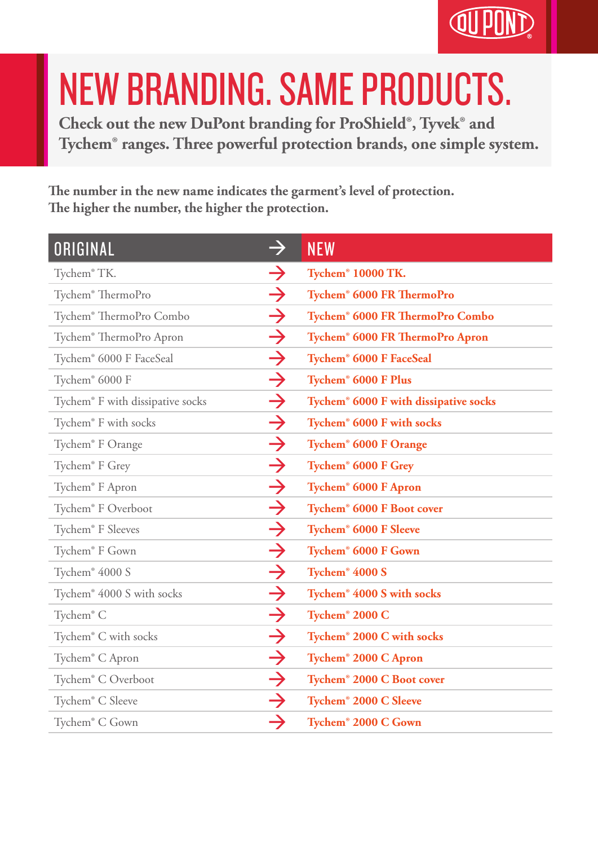

## NEW BRANDING. SAME PRODUCTS.

**Check out the new DuPont branding for ProShield®, Tyvek® and Tychem® ranges. Three powerful protection brands, one simple system.**

**The number in the new name indicates the garment's level of protection. The higher the number, the higher the protection.** 

| ORIGINAL                              | $\rightarrow$       | <b>NEW</b>                                        |
|---------------------------------------|---------------------|---------------------------------------------------|
| Tychem® TK.                           | $\rightarrow$       | <b>Tychem<sup>®</sup> 10000 TK.</b>               |
| Tychem® ThermoPro                     |                     | Tychem <sup>®</sup> 6000 FR ThermoPro             |
| Tychem <sup>®</sup> ThermoPro Combo   |                     | Tychem <sup>®</sup> 6000 FR ThermoPro Combo       |
| Tychem® ThermoPro Apron               |                     | Tychem <sup>®</sup> 6000 FR ThermoPro Apron       |
| Tychem <sup>®</sup> 6000 F FaceSeal   |                     | Tychem <sup>®</sup> 6000 F FaceSeal               |
| Tychem <sup>®</sup> 6000 F            |                     | Tychem <sup>®</sup> 6000 F Plus                   |
| Tychem® F with dissipative socks      |                     | Tychem <sup>®</sup> 6000 F with dissipative socks |
| Tychem® F with socks                  |                     | Tychem <sup>®</sup> 6000 F with socks             |
| Tychem® F Orange                      |                     | Tychem <sup>®</sup> 6000 F Orange                 |
| Tychem® F Grey                        |                     | Tychem <sup>®</sup> 6000 F Grey                   |
| Tychem® F Apron                       |                     | Tychem <sup>®</sup> 6000 F Apron                  |
| Tychem® F Overboot                    |                     | Tychem <sup>®</sup> 6000 F Boot cover             |
| Tychem® F Sleeves                     |                     | Tychem <sup>®</sup> 6000 F Sleeve                 |
| Tychem® F Gown                        |                     | Tychem <sup>®</sup> 6000 F Gown                   |
| Tychem <sup>®</sup> 4000 S            |                     | Tychem <sup>®</sup> 4000 S                        |
| Tychem <sup>®</sup> 4000 S with socks |                     | Tychem <sup>®</sup> 4000 S with socks             |
| Tychem® C                             |                     | Tychem <sup>®</sup> 2000 C                        |
| Tychem® C with socks                  |                     | Tychem <sup>®</sup> 2000 C with socks             |
| Tychem® C Apron                       |                     | Tychem <sup>®</sup> 2000 C Apron                  |
| Tychem® C Overboot                    |                     | Tychem <sup>®</sup> 2000 C Boot cover             |
| Tychem® C Sleeve                      | ナイナナナナナナナナナナナナナナナナナ | Tychem <sup>®</sup> 2000 C Sleeve                 |
| Tychem® C Gown                        | $\rightarrow$       | Tychem <sup>®</sup> 2000 C Gown                   |